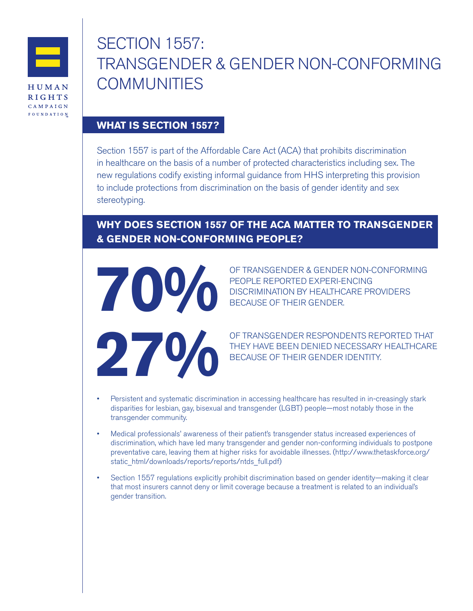

**CAMPAIGN** FOUNDATION SECTION 1557: TRANSGENDER & GENDER NON-CONFORMING **COMMUNITIES** 

## **WHAT IS SECTION 1557?**

Section 1557 is part of the Affordable Care Act (ACA) that prohibits discrimination in healthcare on the basis of a number of protected characteristics including sex. The new regulations codify existing informal guidance from HHS interpreting this provision to include protections from discrimination on the basis of gender identity and sex stereotyping.

## **WHY DOES SECTION 1557 OF THE ACA MATTER TO TRANSGENDER & GENDER NON-CONFORMING PEOPLE?**



OF TRANSGENDER & GENDER NON-CONFORMING<br>PEOPLE REPORTED EXPERI-ENCING<br>BECAUSE OF THEIR GENDER. PEOPLE REPORTED EXPERI-ENCING DISCRIMINATION BY HEALTHCARE PROVIDERS BECAUSE OF THEIR GENDER.

OF TRANSGENDER RESPONDENTS REPORTED THAT<br>BECAUSE OF THEIR GENDER IDENTITY. THEY HAVE BEEN DENIED NECESSARY HEALTHCARE BECAUSE OF THEIR GENDER IDENTITY.

- Persistent and systematic discrimination in accessing healthcare has resulted in in-creasingly stark disparities for lesbian, gay, bisexual and transgender (LGBT) people—most notably those in the transgender community.
- Medical professionals' awareness of their patient's transgender status increased experiences of discrimination, which have led many transgender and gender non-conforming individuals to postpone preventative care, leaving them at higher risks for avoidable illnesses. [\(http://www.thetaskforce.org/](http://www.thetaskforce.org/static_html/downloads/reports/reports/ntds_full.pdf) [static\\_html/downloads/reports/reports/ntds\\_full.pdf\)](http://www.thetaskforce.org/static_html/downloads/reports/reports/ntds_full.pdf)
- Section 1557 regulations explicitly prohibit discrimination based on gender identity—making it clear that most insurers cannot deny or limit coverage because a treatment is related to an individual's gender transition.